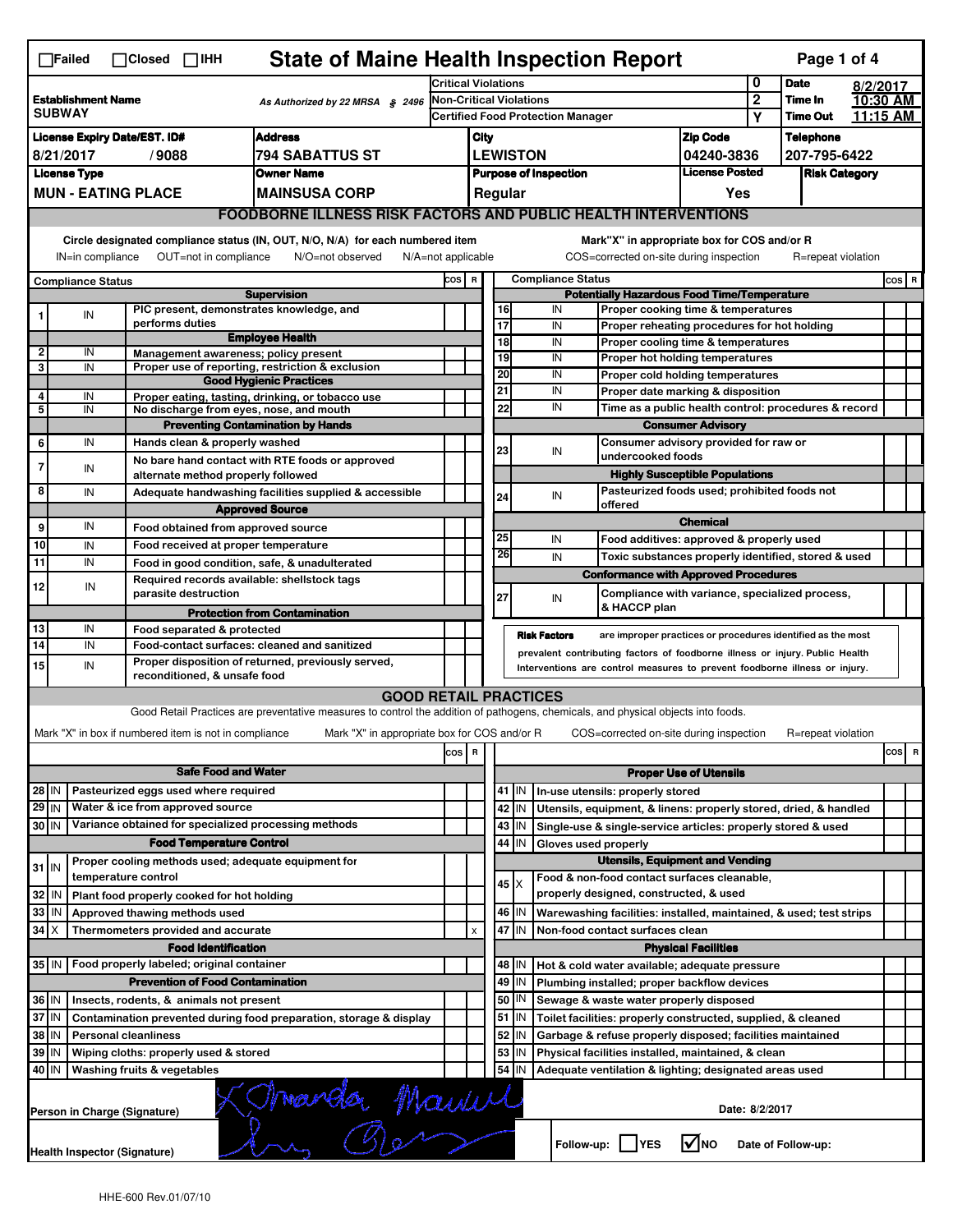|                                                                                                                                                          | $\Box$ Failed                                                                                              |  | $\Box$ Closed $\Box$ IHH                                                   | <b>State of Maine Health Inspection Report</b>                                                                                    |                                          |                                                                                                                |                               |                                                              |                                                              |                                                                                   |                          |                 | Page 1 of 4        |                                 |       |
|----------------------------------------------------------------------------------------------------------------------------------------------------------|------------------------------------------------------------------------------------------------------------|--|----------------------------------------------------------------------------|-----------------------------------------------------------------------------------------------------------------------------------|------------------------------------------|----------------------------------------------------------------------------------------------------------------|-------------------------------|--------------------------------------------------------------|--------------------------------------------------------------|-----------------------------------------------------------------------------------|--------------------------|-----------------|--------------------|---------------------------------|-------|
|                                                                                                                                                          |                                                                                                            |  |                                                                            | <b>Critical Violations</b>                                                                                                        |                                          |                                                                                                                |                               |                                                              |                                                              | 0                                                                                 | <b>Date</b>              | 8/2/2017        |                    |                                 |       |
| <b>Establishment Name</b><br>As Authorized by 22 MRSA § 2496<br><b>SUBWAY</b>                                                                            |                                                                                                            |  | <b>Non-Critical Violations</b>                                             |                                                                                                                                   |                                          | $\overline{2}$                                                                                                 | Time In                       |                                                              | 10:30 AM                                                     |                                                                                   |                          |                 |                    |                                 |       |
|                                                                                                                                                          |                                                                                                            |  |                                                                            |                                                                                                                                   | <b>Certified Food Protection Manager</b> |                                                                                                                |                               |                                                              |                                                              |                                                                                   | Υ                        | <b>Time Out</b> |                    | 11:15 AM                        |       |
| <b>Address</b><br><b>License Expiry Date/EST. ID#</b>                                                                                                    |                                                                                                            |  |                                                                            |                                                                                                                                   |                                          | City                                                                                                           |                               |                                                              |                                                              |                                                                                   | <b>Zip Code</b>          |                 | <b>Telephone</b>   |                                 |       |
| 8/21/2017<br>/9088<br>794 SABATTUS ST                                                                                                                    |                                                                                                            |  |                                                                            |                                                                                                                                   |                                          | <b>LEWISTON</b>                                                                                                |                               |                                                              |                                                              |                                                                                   | 04240-3836               |                 | 207-795-6422       |                                 |       |
| <b>License Type</b><br><b>Owner Name</b><br><b>MUN - EATING PLACE</b>                                                                                    |                                                                                                            |  |                                                                            |                                                                                                                                   |                                          | <b>License Posted</b><br><b>Purpose of Inspection</b><br>Regular                                               |                               |                                                              |                                                              | <b>Risk Category</b>                                                              |                          |                 |                    |                                 |       |
|                                                                                                                                                          |                                                                                                            |  |                                                                            | <b>MAINSUSA CORP</b>                                                                                                              |                                          |                                                                                                                |                               |                                                              |                                                              |                                                                                   | Yes                      |                 |                    |                                 |       |
|                                                                                                                                                          | <b>FOODBORNE ILLNESS RISK FACTORS AND PUBLIC HEALTH INTERVENTIONS</b>                                      |  |                                                                            |                                                                                                                                   |                                          |                                                                                                                |                               |                                                              |                                                              |                                                                                   |                          |                 |                    |                                 |       |
|                                                                                                                                                          | Circle designated compliance status (IN, OUT, N/O, N/A) for each numbered item                             |  |                                                                            |                                                                                                                                   |                                          |                                                                                                                |                               |                                                              |                                                              | Mark"X" in appropriate box for COS and/or R                                       |                          |                 |                    |                                 |       |
| OUT=not in compliance<br>COS=corrected on-site during inspection<br>IN=in compliance<br>N/O=not observed<br>$N/A = not$ applicable<br>R=repeat violation |                                                                                                            |  |                                                                            |                                                                                                                                   |                                          |                                                                                                                |                               |                                                              |                                                              |                                                                                   |                          |                 |                    |                                 |       |
|                                                                                                                                                          | <b>Compliance Status</b>                                                                                   |  |                                                                            |                                                                                                                                   | COS R                                    |                                                                                                                |                               |                                                              | <b>Compliance Status</b>                                     |                                                                                   |                          |                 |                    |                                 | COS R |
|                                                                                                                                                          |                                                                                                            |  |                                                                            | <b>Supervision</b>                                                                                                                |                                          |                                                                                                                |                               |                                                              |                                                              | <b>Potentially Hazardous Food Time/Temperature</b>                                |                          |                 |                    |                                 |       |
|                                                                                                                                                          | IN                                                                                                         |  | PIC present, demonstrates knowledge, and<br>performs duties                |                                                                                                                                   |                                          |                                                                                                                | 16<br>17                      |                                                              | IN<br>IN                                                     | Proper cooking time & temperatures<br>Proper reheating procedures for hot holding |                          |                 |                    |                                 |       |
|                                                                                                                                                          |                                                                                                            |  |                                                                            | <b>Employee Health</b>                                                                                                            |                                          |                                                                                                                | 18                            |                                                              | IN                                                           | Proper cooling time & temperatures                                                |                          |                 |                    |                                 |       |
| 2                                                                                                                                                        | IN                                                                                                         |  | Management awareness; policy present                                       |                                                                                                                                   |                                          |                                                                                                                | 19                            |                                                              | IN                                                           | Proper hot holding temperatures                                                   |                          |                 |                    |                                 |       |
| 3                                                                                                                                                        | IN                                                                                                         |  |                                                                            | Proper use of reporting, restriction & exclusion<br><b>Good Hygienic Practices</b>                                                |                                          |                                                                                                                | 20                            |                                                              | IN                                                           | Proper cold holding temperatures                                                  |                          |                 |                    |                                 |       |
| 4                                                                                                                                                        | IN                                                                                                         |  |                                                                            | Proper eating, tasting, drinking, or tobacco use                                                                                  |                                          |                                                                                                                | 21                            |                                                              | IN                                                           | Proper date marking & disposition                                                 |                          |                 |                    |                                 |       |
| 5                                                                                                                                                        | IN                                                                                                         |  | No discharge from eyes, nose, and mouth                                    |                                                                                                                                   |                                          |                                                                                                                | 22                            |                                                              | IN                                                           | Time as a public health control: procedures & record                              |                          |                 |                    |                                 |       |
|                                                                                                                                                          |                                                                                                            |  |                                                                            | <b>Preventing Contamination by Hands</b>                                                                                          |                                          |                                                                                                                |                               |                                                              |                                                              |                                                                                   | <b>Consumer Advisory</b> |                 |                    |                                 |       |
| 6                                                                                                                                                        | IN                                                                                                         |  | Hands clean & properly washed                                              |                                                                                                                                   |                                          |                                                                                                                | 23                            |                                                              | IN                                                           | Consumer advisory provided for raw or<br>undercooked foods                        |                          |                 |                    |                                 |       |
| 7                                                                                                                                                        | IN                                                                                                         |  | alternate method properly followed                                         | No bare hand contact with RTE foods or approved                                                                                   |                                          |                                                                                                                |                               |                                                              |                                                              | <b>Highly Susceptible Populations</b>                                             |                          |                 |                    |                                 |       |
| 8                                                                                                                                                        | IN                                                                                                         |  |                                                                            | Adequate handwashing facilities supplied & accessible                                                                             |                                          |                                                                                                                |                               |                                                              | IN                                                           | Pasteurized foods used; prohibited foods not                                      |                          |                 |                    |                                 |       |
|                                                                                                                                                          |                                                                                                            |  |                                                                            | <b>Approved Source</b>                                                                                                            |                                          |                                                                                                                | 24                            |                                                              |                                                              | offered                                                                           |                          |                 |                    |                                 |       |
| 9                                                                                                                                                        | IN                                                                                                         |  | Food obtained from approved source                                         |                                                                                                                                   |                                          |                                                                                                                |                               |                                                              |                                                              |                                                                                   | <b>Chemical</b>          |                 |                    |                                 |       |
| 10                                                                                                                                                       | IN                                                                                                         |  | Food received at proper temperature                                        |                                                                                                                                   |                                          |                                                                                                                | 25                            |                                                              | IN                                                           | Food additives: approved & properly used                                          |                          |                 |                    |                                 |       |
| 11                                                                                                                                                       | IN                                                                                                         |  | Food in good condition, safe, & unadulterated                              |                                                                                                                                   |                                          |                                                                                                                | 26                            |                                                              | IN                                                           | Toxic substances properly identified, stored & used                               |                          |                 |                    |                                 |       |
| 12                                                                                                                                                       | IN                                                                                                         |  | Required records available: shellstock tags                                |                                                                                                                                   |                                          |                                                                                                                |                               |                                                              |                                                              | <b>Conformance with Approved Procedures</b>                                       |                          |                 |                    |                                 |       |
|                                                                                                                                                          |                                                                                                            |  | parasite destruction                                                       |                                                                                                                                   |                                          |                                                                                                                | 27                            |                                                              | IN                                                           | Compliance with variance, specialized process,<br>& HACCP plan                    |                          |                 |                    |                                 |       |
|                                                                                                                                                          |                                                                                                            |  |                                                                            | <b>Protection from Contamination</b>                                                                                              |                                          |                                                                                                                |                               |                                                              |                                                              |                                                                                   |                          |                 |                    |                                 |       |
| 13<br>$\overline{14}$                                                                                                                                    | IN<br>IN                                                                                                   |  | Food separated & protected<br>Food-contact surfaces: cleaned and sanitized |                                                                                                                                   |                                          |                                                                                                                |                               |                                                              | <b>Risk Factors</b>                                          | are improper practices or procedures identified as the most                       |                          |                 |                    |                                 |       |
| 15                                                                                                                                                       | IN                                                                                                         |  |                                                                            | Proper disposition of returned, previously served,                                                                                |                                          |                                                                                                                |                               |                                                              |                                                              | prevalent contributing factors of foodborne illness or injury. Public Health      |                          |                 |                    |                                 |       |
|                                                                                                                                                          | Interventions are control measures to prevent foodborne illness or injury.<br>reconditioned, & unsafe food |  |                                                                            |                                                                                                                                   |                                          |                                                                                                                |                               |                                                              |                                                              |                                                                                   |                          |                 |                    |                                 |       |
|                                                                                                                                                          |                                                                                                            |  |                                                                            | <b>GOOD RETAIL PRACTICES</b>                                                                                                      |                                          |                                                                                                                |                               |                                                              |                                                              |                                                                                   |                          |                 |                    |                                 |       |
|                                                                                                                                                          |                                                                                                            |  |                                                                            | Good Retail Practices are preventative measures to control the addition of pathogens, chemicals, and physical objects into foods. |                                          |                                                                                                                |                               |                                                              |                                                              |                                                                                   |                          |                 |                    |                                 |       |
|                                                                                                                                                          |                                                                                                            |  | Mark "X" in box if numbered item is not in compliance                      | Mark "X" in appropriate box for COS and/or R                                                                                      |                                          |                                                                                                                |                               |                                                              |                                                              | COS=corrected on-site during inspection                                           |                          |                 | R=repeat violation |                                 |       |
|                                                                                                                                                          |                                                                                                            |  |                                                                            |                                                                                                                                   | cos                                      | R                                                                                                              |                               |                                                              |                                                              |                                                                                   |                          |                 |                    | cosl<br>$\overline{\mathbf{R}}$ |       |
|                                                                                                                                                          |                                                                                                            |  | <b>Safe Food and Water</b>                                                 |                                                                                                                                   |                                          |                                                                                                                | <b>Proper Use of Utensils</b> |                                                              |                                                              |                                                                                   |                          |                 |                    |                                 |       |
| 28 IN                                                                                                                                                    |                                                                                                            |  | Pasteurized eggs used where required                                       |                                                                                                                                   |                                          |                                                                                                                |                               | $41$   IN                                                    |                                                              | In-use utensils: properly stored                                                  |                          |                 |                    |                                 |       |
| 29 IN                                                                                                                                                    |                                                                                                            |  | Water & ice from approved source                                           |                                                                                                                                   |                                          |                                                                                                                |                               | 42<br>IN                                                     |                                                              | Utensils, equipment, & linens: properly stored, dried, & handled                  |                          |                 |                    |                                 |       |
| Variance obtained for specialized processing methods<br>30 IN                                                                                            |                                                                                                            |  |                                                                            |                                                                                                                                   |                                          |                                                                                                                | 43<br>IN                      |                                                              | Single-use & single-service articles: properly stored & used |                                                                                   |                          |                 |                    |                                 |       |
|                                                                                                                                                          |                                                                                                            |  | <b>Food Temperature Control</b>                                            |                                                                                                                                   |                                          |                                                                                                                |                               | 44<br>IN                                                     |                                                              | Gloves used properly<br><b>Utensils, Equipment and Vending</b>                    |                          |                 |                    |                                 |       |
| $31$ IN                                                                                                                                                  |                                                                                                            |  | Proper cooling methods used; adequate equipment for<br>temperature control |                                                                                                                                   |                                          |                                                                                                                |                               |                                                              |                                                              | Food & non-food contact surfaces cleanable,                                       |                          |                 |                    |                                 |       |
| 32                                                                                                                                                       | IN                                                                                                         |  | Plant food properly cooked for hot holding                                 |                                                                                                                                   |                                          |                                                                                                                |                               | $45 \times$                                                  |                                                              | properly designed, constructed, & used                                            |                          |                 |                    |                                 |       |
| 33                                                                                                                                                       | IN                                                                                                         |  | Approved thawing methods used                                              |                                                                                                                                   |                                          |                                                                                                                |                               | 46   IN                                                      |                                                              |                                                                                   |                          |                 |                    |                                 |       |
| 34<br>Iх<br>Thermometers provided and accurate                                                                                                           |                                                                                                            |  |                                                                            |                                                                                                                                   | $\pmb{\times}$                           | Warewashing facilities: installed, maintained, & used; test strips<br>47 IN<br>Non-food contact surfaces clean |                               |                                                              |                                                              |                                                                                   |                          |                 |                    |                                 |       |
| <b>Food Identification</b>                                                                                                                               |                                                                                                            |  |                                                                            |                                                                                                                                   |                                          |                                                                                                                | <b>Physical Facilities</b>    |                                                              |                                                              |                                                                                   |                          |                 |                    |                                 |       |
| 35 IN                                                                                                                                                    |                                                                                                            |  | Food properly labeled; original container                                  |                                                                                                                                   |                                          |                                                                                                                |                               | 48   IN                                                      |                                                              | Hot & cold water available; adequate pressure                                     |                          |                 |                    |                                 |       |
|                                                                                                                                                          |                                                                                                            |  | <b>Prevention of Food Contamination</b>                                    |                                                                                                                                   |                                          |                                                                                                                | 49                            | IN                                                           |                                                              | Plumbing installed; proper backflow devices                                       |                          |                 |                    |                                 |       |
| 36 IN<br>Insects, rodents, & animals not present                                                                                                         |                                                                                                            |  |                                                                            |                                                                                                                                   |                                          | 50<br>IN                                                                                                       |                               | Sewage & waste water properly disposed                       |                                                              |                                                                                   |                          |                 |                    |                                 |       |
| 37 IN<br>Contamination prevented during food preparation, storage & display                                                                              |                                                                                                            |  |                                                                            |                                                                                                                                   | 51                                       | ΙN                                                                                                             |                               | Toilet facilities: properly constructed, supplied, & cleaned |                                                              |                                                                                   |                          |                 |                    |                                 |       |
| 38 IN                                                                                                                                                    |                                                                                                            |  | <b>Personal cleanliness</b>                                                |                                                                                                                                   |                                          |                                                                                                                | 52                            | IN                                                           |                                                              | Garbage & refuse properly disposed; facilities maintained                         |                          |                 |                    |                                 |       |
| 39 IN                                                                                                                                                    |                                                                                                            |  | Wiping cloths: properly used & stored                                      |                                                                                                                                   |                                          |                                                                                                                | 53                            | IN                                                           |                                                              | Physical facilities installed, maintained, & clean                                |                          |                 |                    |                                 |       |
| 40 IN<br>Washing fruits & vegetables                                                                                                                     |                                                                                                            |  |                                                                            |                                                                                                                                   |                                          |                                                                                                                |                               | 54<br>IN                                                     |                                                              | Adequate ventilation & lighting; designated areas used                            |                          |                 |                    |                                 |       |
| Mourda Mauril<br>Date: 8/2/2017<br>Person in Charge (Signature)                                                                                          |                                                                                                            |  |                                                                            |                                                                                                                                   |                                          |                                                                                                                |                               |                                                              |                                                              |                                                                                   |                          |                 |                    |                                 |       |
|                                                                                                                                                          | Health Inspector (Signature)                                                                               |  |                                                                            |                                                                                                                                   |                                          |                                                                                                                |                               |                                                              |                                                              | Follow-up:     YES                                                                | l√Ino                    |                 | Date of Follow-up: |                                 |       |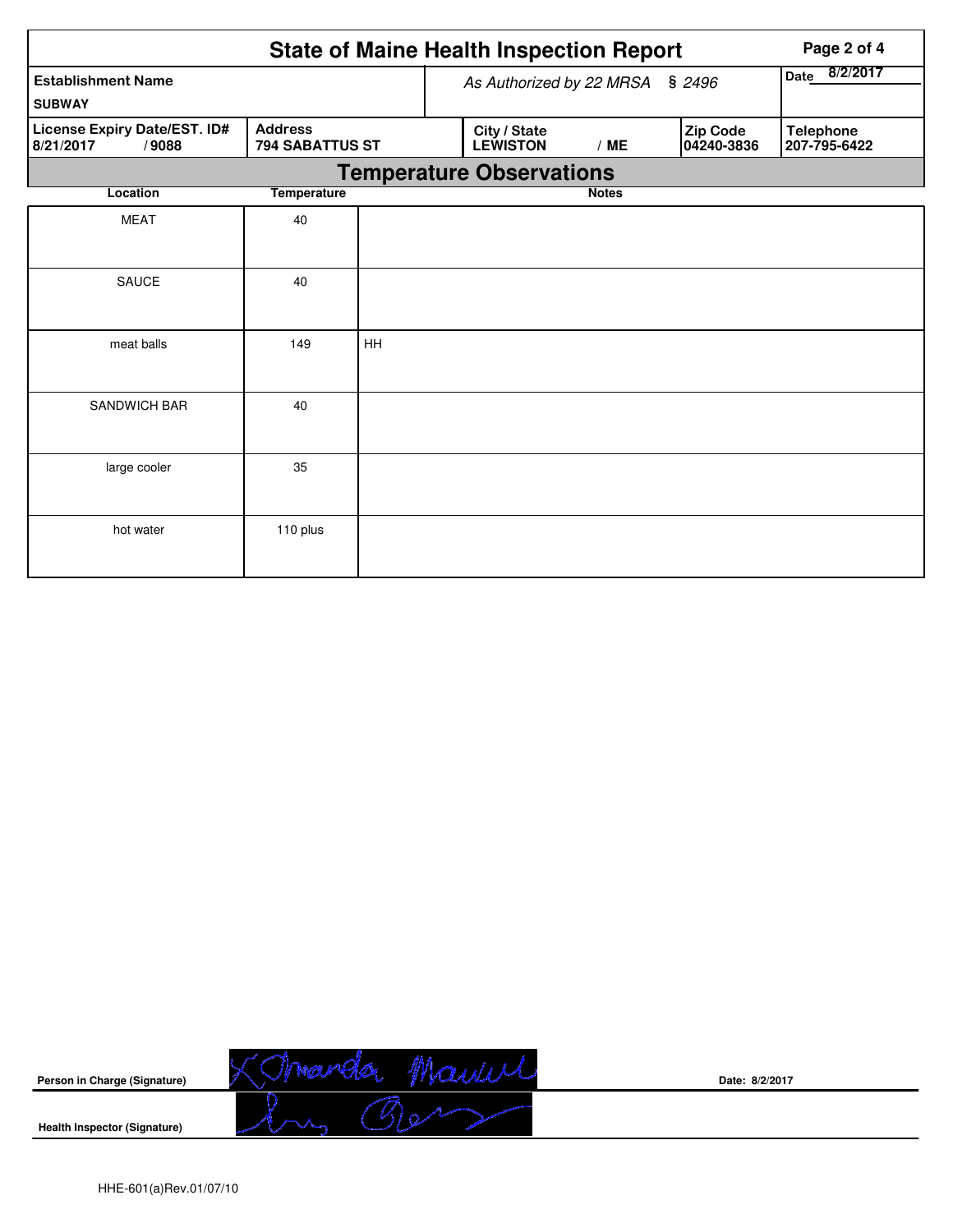|                                                    |                                          |    | <b>State of Maine Health Inspection Report</b> | Page 2 of 4  |                        |                                  |  |  |  |  |
|----------------------------------------------------|------------------------------------------|----|------------------------------------------------|--------------|------------------------|----------------------------------|--|--|--|--|
| <b>Establishment Name</b><br><b>SUBWAY</b>         |                                          |    | As Authorized by 22 MRSA                       |              | \$2496                 | 8/2/2017<br>Date                 |  |  |  |  |
| License Expiry Date/EST. ID#<br>/9088<br>8/21/2017 | <b>Address</b><br><b>794 SABATTUS ST</b> |    | City / State<br><b>LEWISTON</b>                | /ME          | Zip Code<br>04240-3836 | <b>Telephone</b><br>207-795-6422 |  |  |  |  |
| <b>Temperature Observations</b>                    |                                          |    |                                                |              |                        |                                  |  |  |  |  |
| Location                                           | <b>Temperature</b>                       |    |                                                | <b>Notes</b> |                        |                                  |  |  |  |  |
| <b>MEAT</b>                                        | 40                                       |    |                                                |              |                        |                                  |  |  |  |  |
| <b>SAUCE</b>                                       | 40                                       |    |                                                |              |                        |                                  |  |  |  |  |
| meat balls                                         | 149                                      | HH |                                                |              |                        |                                  |  |  |  |  |
| <b>SANDWICH BAR</b>                                | 40                                       |    |                                                |              |                        |                                  |  |  |  |  |
| large cooler                                       | 35                                       |    |                                                |              |                        |                                  |  |  |  |  |
| hot water                                          | 110 plus                                 |    |                                                |              |                        |                                  |  |  |  |  |



**Date: 8/2/2017**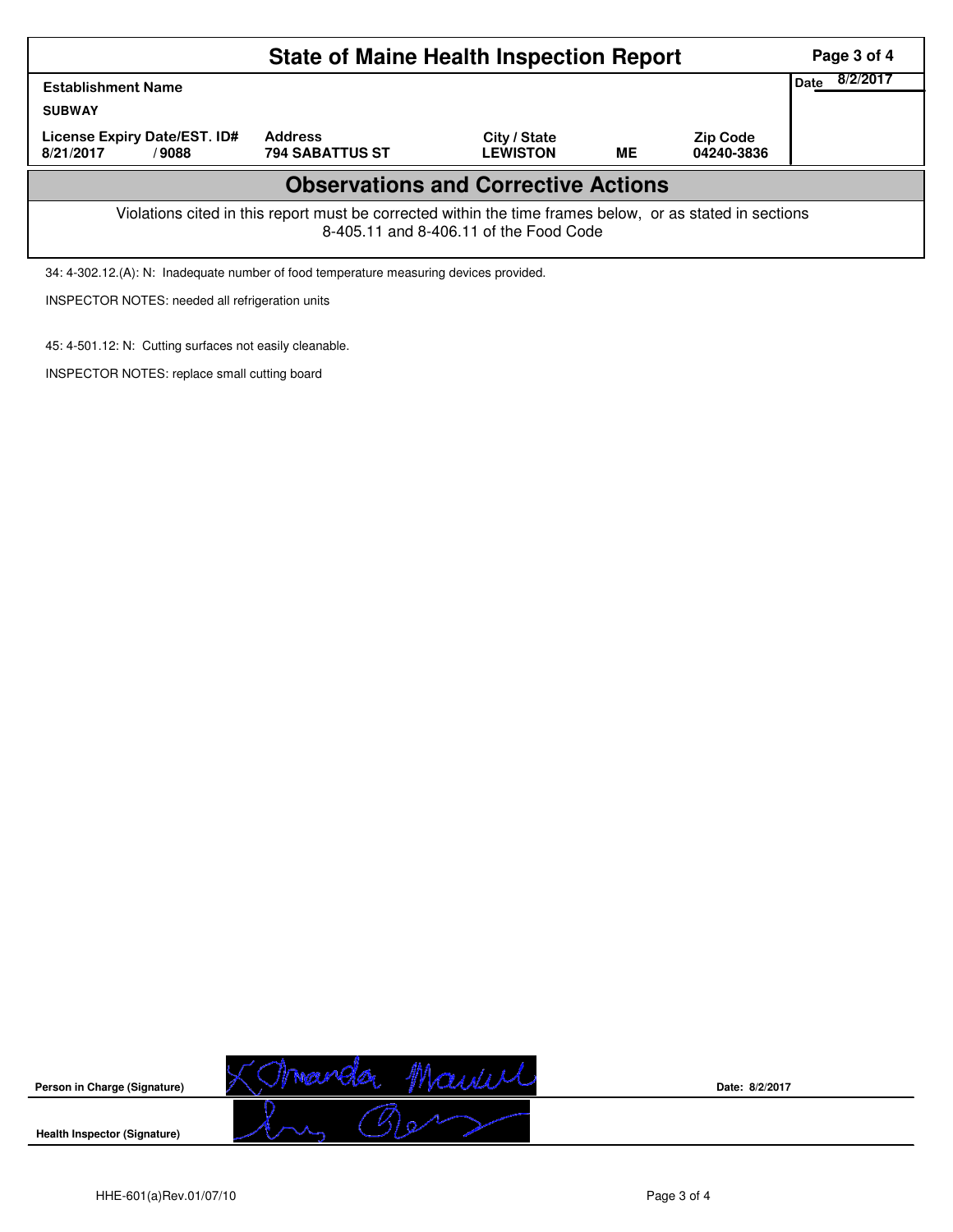|                                                    | <b>State of Maine Health Inspection Report</b>                                                           |                                        |    |                               | Page 3 of 4             |
|----------------------------------------------------|----------------------------------------------------------------------------------------------------------|----------------------------------------|----|-------------------------------|-------------------------|
| <b>Establishment Name</b><br><b>SUBWAY</b>         |                                                                                                          |                                        |    |                               | 8/2/2017<br><b>Date</b> |
| License Expiry Date/EST. ID#<br>8/21/2017<br>/9088 | <b>Address</b><br><b>794 SABATTUS ST</b>                                                                 | City / State<br><b>LEWISTON</b>        | ME | <b>Zip Code</b><br>04240-3836 |                         |
|                                                    | <b>Observations and Corrective Actions</b>                                                               |                                        |    |                               |                         |
|                                                    | Violations cited in this report must be corrected within the time frames below, or as stated in sections | 8-405.11 and 8-406.11 of the Food Code |    |                               |                         |

34: 4-302.12.(A): N: Inadequate number of food temperature measuring devices provided.

INSPECTOR NOTES: needed all refrigeration units

45: 4-501.12: N: Cutting surfaces not easily cleanable.

INSPECTOR NOTES: replace small cutting board



**Date: 8/2/2017**